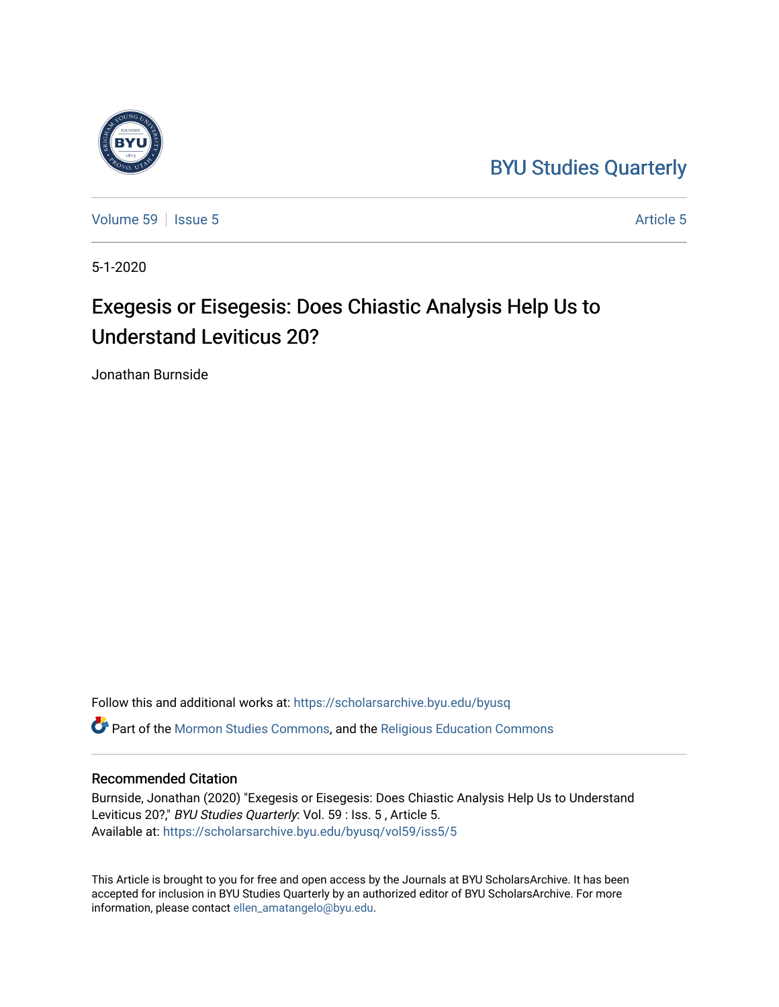## [BYU Studies Quarterly](https://scholarsarchive.byu.edu/byusq)



[Volume 59](https://scholarsarchive.byu.edu/byusq/vol59) | [Issue 5](https://scholarsarchive.byu.edu/byusq/vol59/iss5) [Article 5](https://scholarsarchive.byu.edu/byusq/vol59/iss5/5) Article 5

5-1-2020

# Exegesis or Eisegesis: Does Chiastic Analysis Help Us to Understand Leviticus 20?

Jonathan Burnside

Follow this and additional works at: [https://scholarsarchive.byu.edu/byusq](https://scholarsarchive.byu.edu/byusq?utm_source=scholarsarchive.byu.edu%2Fbyusq%2Fvol59%2Fiss5%2F5&utm_medium=PDF&utm_campaign=PDFCoverPages)  Part of the [Mormon Studies Commons](http://network.bepress.com/hgg/discipline/1360?utm_source=scholarsarchive.byu.edu%2Fbyusq%2Fvol59%2Fiss5%2F5&utm_medium=PDF&utm_campaign=PDFCoverPages), and the [Religious Education Commons](http://network.bepress.com/hgg/discipline/1414?utm_source=scholarsarchive.byu.edu%2Fbyusq%2Fvol59%2Fiss5%2F5&utm_medium=PDF&utm_campaign=PDFCoverPages) 

#### Recommended Citation

Burnside, Jonathan (2020) "Exegesis or Eisegesis: Does Chiastic Analysis Help Us to Understand Leviticus 20?," BYU Studies Quarterly: Vol. 59 : Iss. 5, Article 5. Available at: [https://scholarsarchive.byu.edu/byusq/vol59/iss5/5](https://scholarsarchive.byu.edu/byusq/vol59/iss5/5?utm_source=scholarsarchive.byu.edu%2Fbyusq%2Fvol59%2Fiss5%2F5&utm_medium=PDF&utm_campaign=PDFCoverPages)

This Article is brought to you for free and open access by the Journals at BYU ScholarsArchive. It has been accepted for inclusion in BYU Studies Quarterly by an authorized editor of BYU ScholarsArchive. For more information, please contact [ellen\\_amatangelo@byu.edu.](mailto:ellen_amatangelo@byu.edu)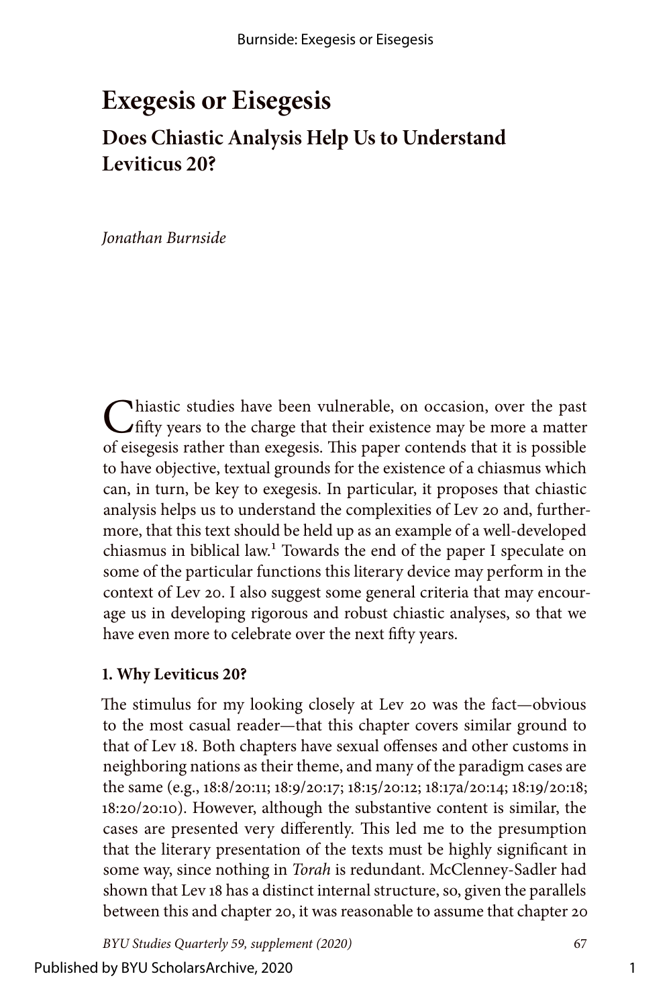## **Exegesis or Eisegesis Does Chiastic Analysis Help Us to Understand Leviticus 20?**

*Jonathan Burnside*

Chiastic studies have been vulnerable, on occasion, over the past  $\binom{1}{r}$  fifty years to the charge that their existence may be more a matter of eisegesis rather than exegesis. This paper contends that it is possible to have objective, textual grounds for the existence of a chiasmus which can, in turn, be key to exegesis. In particular, it proposes that chiastic analysis helps us to understand the complexities of Lev 20 and, furthermore, that this text should be held up as an example of a well-developed chiasmus in biblical law.1 Towards the end of the paper I speculate on some of the particular functions this literary device may perform in the context of Lev 20. I also suggest some general criteria that may encourage us in developing rigorous and robust chiastic analyses, so that we have even more to celebrate over the next fifty years.

#### **1. Why Leviticus 20?**

The stimulus for my looking closely at Lev 20 was the fact—obvious to the most casual reader—that this chapter covers similar ground to that of Lev 18. Both chapters have sexual offenses and other customs in neighboring nations as their theme, and many of the paradigm cases are the same (e.g., 18:8/20:11; 18:9/20:17; 18:15/20:12; 18:17a/20:14; 18:19/20:18; 18:20/20:10). However, although the substantive content is similar, the cases are presented very differently. This led me to the presumption that the literary presentation of the texts must be highly significant in some way, since nothing in *Torah* is redundant. McClenney-Sadler had shown that Lev 18 has a distinct internal structure, so, given the parallels between this and chapter 20, it was reasonable to assume that chapter 20

*BYU Studies Quarterly 59, supplement (2020)* 67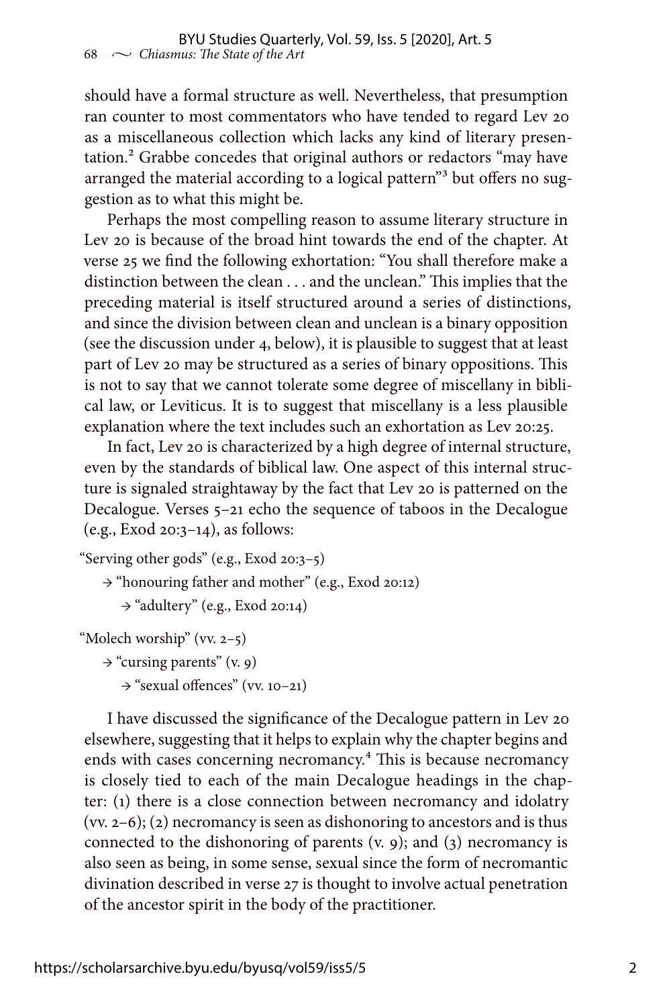should have a formal structure as well. Nevertheless, that presumption ran counter to most commentators who have tended to regard Lev 20 as a miscellaneous collection which lacks any kind of literary presentation.<sup>2</sup> Grabbe concedes that original authors or redactors "may have arranged the material according to a logical pattern"3 but offers no suggestion as to what this might be.

Perhaps the most compelling reason to assume literary structure in Lev 20 is because of the broad hint towards the end of the chapter. At verse 25 we find the following exhortation: "You shall therefore make a distinction between the clean . . . and the unclean." This implies that the preceding material is itself structured around a series of distinctions, and since the division between clean and unclean is a binary opposition (see the discussion under 4, below), it is plausible to suggest that at least part of Lev 20 may be structured as a series of binary oppositions. This is not to say that we cannot tolerate some degree of miscellany in biblical law, or Leviticus. It is to suggest that miscellany is a less plausible explanation where the text includes such an exhortation as Lev 20:25.

In fact, Lev 20 is characterized by a high degree of internal structure, even by the standards of biblical law. One aspect of this internal structure is signaled straightaway by the fact that Lev 20 is patterned on the Decalogue. Verses 5–21 echo the sequence of taboos in the Decalogue (e.g., Exod 20:3–14), as follows:

```
"Serving other gods" (e.g., Exod 20:3–5)
```
→ "honouring father and mother" (e.g., Exod 20:12)

→ "adultery" (e.g., Exod 20:14)

```
"Molech worship" (vv. 2–5)
```

```
\rightarrow "cursing parents" (v. 9)
```

```
→ "sexual offences" (vv. 10–21)
```
I have discussed the significance of the Decalogue pattern in Lev 20 elsewhere, suggesting that it helps to explain why the chapter begins and ends with cases concerning necromancy.<sup>4</sup> This is because necromancy is closely tied to each of the main Decalogue headings in the chapter: (1) there is a close connection between necromancy and idolatry (vv. 2–6); (2) necromancy is seen as dishonoring to ancestors and is thus connected to the dishonoring of parents (v. 9); and (3) necromancy is also seen as being, in some sense, sexual since the form of necromantic divination described in verse 27 is thought to involve actual penetration of the ancestor spirit in the body of the practitioner.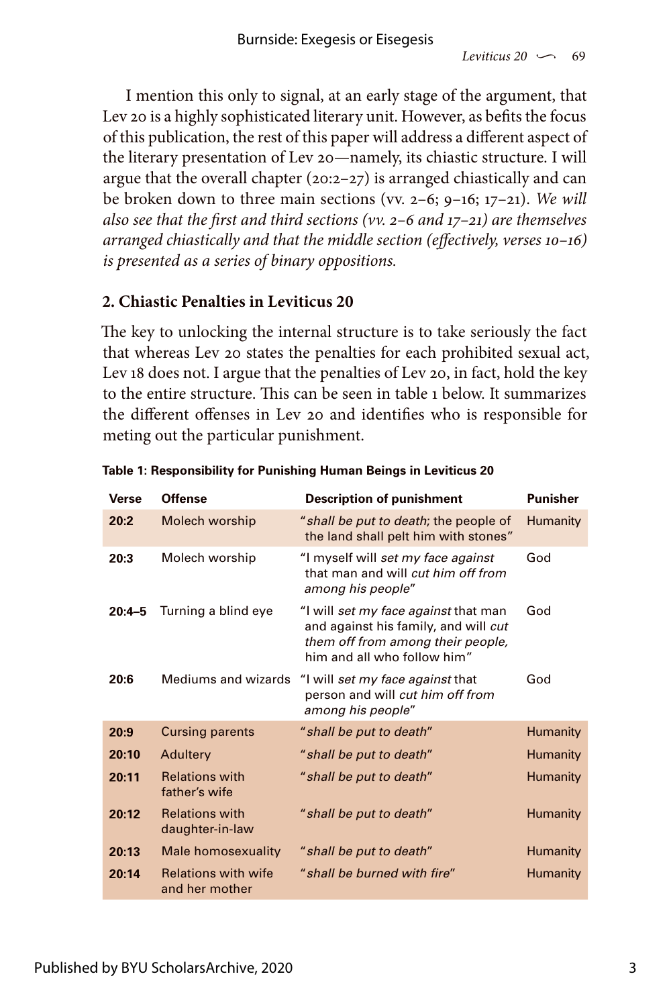I mention this only to signal, at an early stage of the argument, that Lev 20 is a highly sophisticated literary unit. However, as befits the focus of this publication, the rest of this paper will address a different aspect of the literary presentation of Lev 20—namely, its chiastic structure. I will argue that the overall chapter (20:2–27) is arranged chiastically and can be broken down to three main sections (vv. 2–6; 9–16; 17–21). *We will also see that the first and third sections (vv. 2–6 and 17–21) are themselves arranged chiastically and that the middle section (effectively, verses 10–16) is presented as a series of binary oppositions.*

### **2. Chiastic Penalties in Leviticus 20**

The key to unlocking the internal structure is to take seriously the fact that whereas Lev 20 states the penalties for each prohibited sexual act, Lev 18 does not. I argue that the penalties of Lev 20, in fact, hold the key to the entire structure. This can be seen in table 1 below. It summarizes the different offenses in Lev 20 and identifies who is responsible for meting out the particular punishment.

| Verse      | Offense                                      | <b>Description of punishment</b>                                                                                                                 | Punisher        |
|------------|----------------------------------------------|--------------------------------------------------------------------------------------------------------------------------------------------------|-----------------|
| 20:2       | Molech worship                               | "shall be put to death; the people of<br>the land shall pelt him with stones"                                                                    | <b>Humanity</b> |
| 20:3       | Molech worship                               | "I myself will set my face against<br>that man and will cut him off from<br>among his people"                                                    | God             |
| $20:4 - 5$ | Turning a blind eye                          | "I will set my face against that man<br>and against his family, and will cut<br>them off from among their people,<br>him and all who follow him" | God             |
| 20:6       | Mediums and wizards                          | "I will set my face against that<br>person and will cut him off from<br>among his people"                                                        | God             |
| 20:9       | <b>Cursing parents</b>                       | " shall be put to death"                                                                                                                         | Humanity        |
| 20:10      | Adultery                                     | " shall be put to death"                                                                                                                         | <b>Humanity</b> |
| 20:11      | <b>Relations with</b><br>father's wife       | " shall be put to death"                                                                                                                         | <b>Humanity</b> |
| 20:12      | <b>Relations with</b><br>daughter-in-law     | " shall be put to death"                                                                                                                         | <b>Humanity</b> |
| 20:13      | Male homosexuality                           | " shall be put to death"                                                                                                                         | <b>Humanity</b> |
| 20:14      | <b>Relations with wife</b><br>and her mother | "shall be burned with fire"                                                                                                                      | Humanity        |

**Table 1: Responsibility for Punishing Human Beings in Leviticus 20**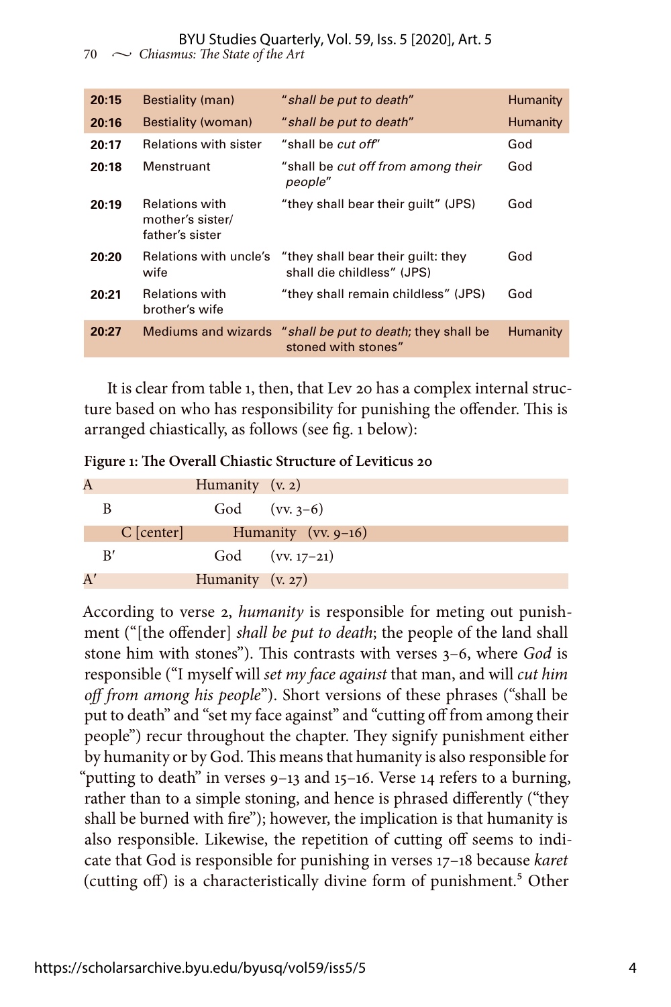#### BYU Studies Quarterly, Vol. 59, Iss. 5 [2020], Art. 5

70  $\sim$  *Chiasmus: The State of the Art* 

| 20:15 | Bestiality (man)                                             | " shall be put to death"                                                         | Humanity |
|-------|--------------------------------------------------------------|----------------------------------------------------------------------------------|----------|
| 20:16 | Bestiality (woman)                                           | " shall be put to death"                                                         | Humanity |
| 20:17 | <b>Relations with sister</b>                                 | "shall be <i>cut off</i> "                                                       | God      |
| 20:18 | Menstruant                                                   | "shall be cut off from among their<br>people"                                    | God      |
| 20:19 | <b>Relations with</b><br>mother's sister/<br>father's sister | "they shall bear their quilt" (JPS)                                              | God      |
| 20:20 | Relations with uncle's<br>wife                               | "they shall bear their quilt: they<br>shall die childless" (JPS)                 | God      |
| 20:21 | <b>Relations with</b><br>brother's wife                      | "they shall remain childless" (JPS)                                              | God      |
| 20:27 |                                                              | Mediums and wizards "shall be put to death; they shall be<br>stoned with stones" | Humanity |
|       |                                                              |                                                                                  |          |

It is clear from table 1, then, that Lev 20 has a complex internal structure based on who has responsibility for punishing the offender. This is arranged chiastically, as follows (see fig. 1 below):

| A  |    |              | Humanity $(v, 2)$  |                        |
|----|----|--------------|--------------------|------------------------|
|    |    |              |                    | God (vv. $3-6$ )       |
|    |    | $C$ [center] |                    | Humanity (vv. $9-16$ ) |
|    | R' |              |                    | God $(vv. 17-21)$      |
| A' |    |              | Humanity $(v. 27)$ |                        |

According to verse 2, *humanity* is responsible for meting out punishment ("[the offender] *shall be put to death*; the people of the land shall stone him with stones"). This contrasts with verses 3–6, where *God* is responsible ("I myself will *set my face against* that man, and will *cut him off from among his people*"). Short versions of these phrases ("shall be put to death" and "set my face against" and "cutting off from among their people") recur throughout the chapter. They signify punishment either by humanity or by God. This means that humanity is also responsible for "putting to death" in verses 9–13 and 15–16. Verse 14 refers to a burning, rather than to a simple stoning, and hence is phrased differently ("they shall be burned with fire"); however, the implication is that humanity is also responsible. Likewise, the repetition of cutting off seems to indicate that God is responsible for punishing in verses 17–18 because *karet* (cutting off) is a characteristically divine form of punishment.<sup>5</sup> Other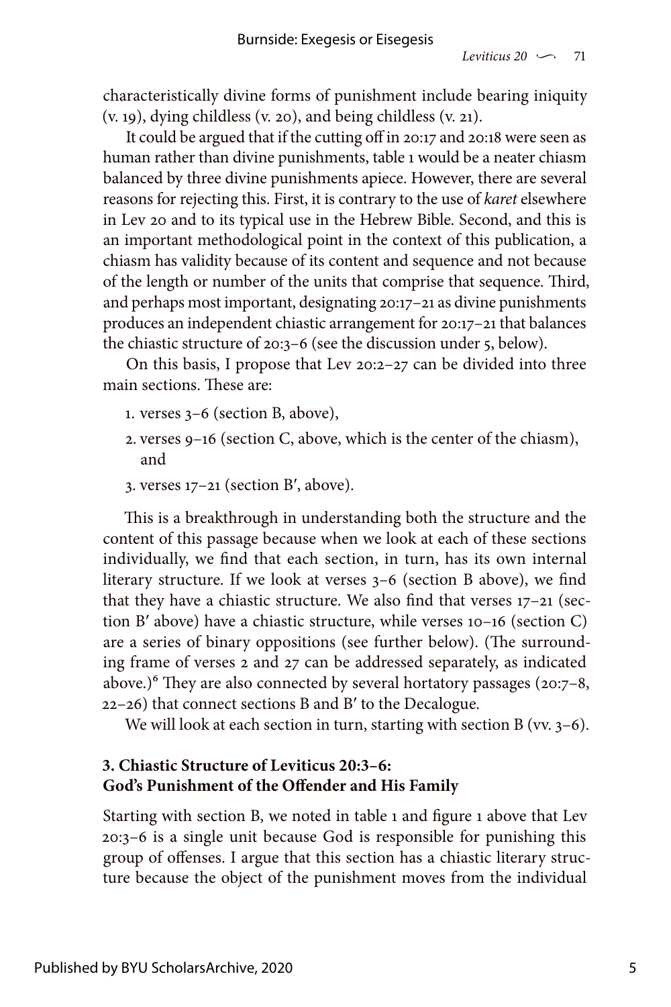characteristically divine forms of punishment include bearing iniquity (v. 19), dying childless (v. 20), and being childless (v. 21).

It could be argued that if the cutting off in 20:17 and 20:18 were seen as human rather than divine punishments, table 1 would be a neater chiasm balanced by three divine punishments apiece. However, there are several reasons for rejecting this. First, it is contrary to the use of *karet* elsewhere in Lev 20 and to its typical use in the Hebrew Bible. Second, and this is an important methodological point in the context of this publication, a chiasm has validity because of its content and sequence and not because of the length or number of the units that comprise that sequence. Third, and perhaps most important, designating 20:17–21 as divine punishments produces an independent chiastic arrangement for 20:17–21 that balances the chiastic structure of 20:3–6 (see the discussion under 5, below).

On this basis, I propose that Lev 20:2–27 can be divided into three main sections. These are:

- 1. verses 3–6 (section B, above),
- 2. verses 9–16 (section C, above, which is the center of the chiasm), and
- 3. verses 17–21 (section B′, above).

This is a breakthrough in understanding both the structure and the content of this passage because when we look at each of these sections individually, we find that each section, in turn, has its own internal literary structure. If we look at verses 3–6 (section B above), we find that they have a chiastic structure. We also find that verses 17–21 (section B′ above) have a chiastic structure, while verses 10–16 (section C) are a series of binary oppositions (see further below). (The surrounding frame of verses 2 and 27 can be addressed separately, as indicated above.)<sup>6</sup> They are also connected by several hortatory passages (20:7-8, 22–26) that connect sections B and B′ to the Decalogue.

We will look at each section in turn, starting with section  $B$  (vv.  $3-6$ ).

### **3. Chiastic Structure of Leviticus 20:3–6: God's Punishment of the Offender and His Family**

Starting with section B, we noted in table 1 and figure 1 above that Lev 20:3–6 is a single unit because God is responsible for punishing this group of offenses. I argue that this section has a chiastic literary structure because the object of the punishment moves from the individual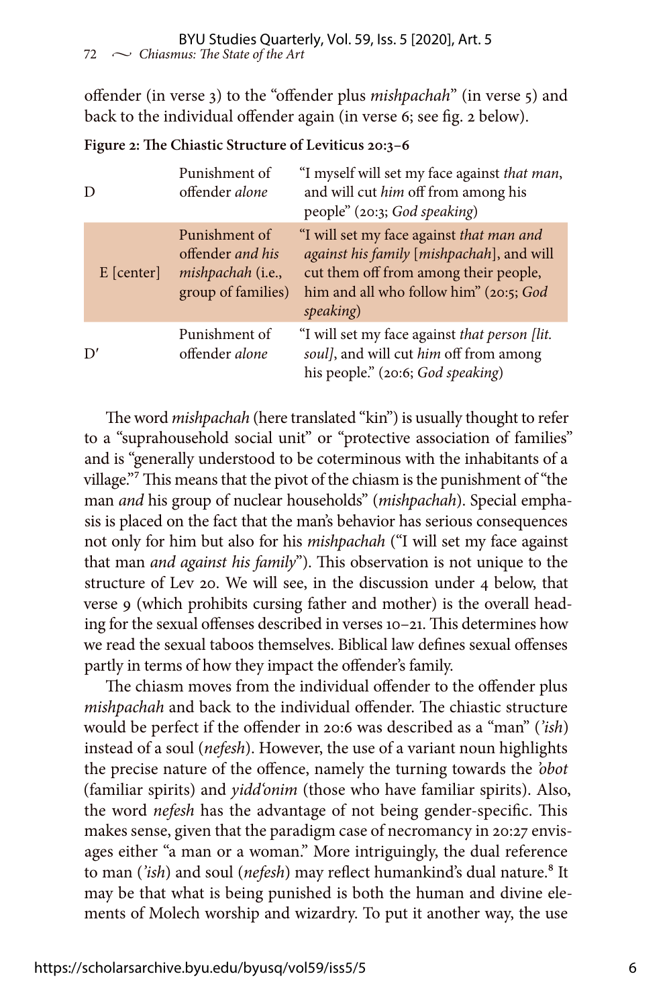offender (in verse 3) to the "offender plus *mishpachah*" (in verse 5) and back to the individual offender again (in verse 6; see fig. 2 below).

| D            | Punishment of<br>offender alone                                                              | "I myself will set my face against that man,<br>and will cut him off from among his<br>people" (20:3; God speaking)                                                                   |
|--------------|----------------------------------------------------------------------------------------------|---------------------------------------------------------------------------------------------------------------------------------------------------------------------------------------|
| $E$ [center] | Punishment of<br>offender and his<br><i>mishpachah</i> ( <i>i.e.</i> ,<br>group of families) | "I will set my face against that man and<br>against his family [mishpachah], and will<br>cut them off from among their people,<br>him and all who follow him" (20:5; God<br>speaking) |
| D'           | Punishment of<br>offender alone                                                              | "I will set my face against that person [lit.<br>soul], and will cut him off from among<br>his people." (20:6; God speaking)                                                          |

**Figure 2: The Chiastic Structure of Leviticus 20:3–6**

The word *mishpachah* (here translated "kin") is usually thought to refer to a "suprahousehold social unit" or "protective association of families" and is "generally understood to be coterminous with the inhabitants of a village."<sup>7</sup> This means that the pivot of the chiasm is the punishment of "the man *and* his group of nuclear households" (*mishpachah*). Special emphasis is placed on the fact that the man's behavior has serious consequences not only for him but also for his *mishpachah* ("I will set my face against that man *and against his family*"). This observation is not unique to the structure of Lev 20. We will see, in the discussion under 4 below, that verse 9 (which prohibits cursing father and mother) is the overall heading for the sexual offenses described in verses 10–21. This determines how we read the sexual taboos themselves. Biblical law defines sexual offenses partly in terms of how they impact the offender's family.

The chiasm moves from the individual offender to the offender plus *mishpachah* and back to the individual offender. The chiastic structure would be perfect if the offender in 20:6 was described as a "man" (*'ish*) instead of a soul (*nefesh*). However, the use of a variant noun highlights the precise nature of the offence, namely the turning towards the *'obot* (familiar spirits) and *yidd'onim* (those who have familiar spirits). Also, the word *nefesh* has the advantage of not being gender-specific. This makes sense, given that the paradigm case of necromancy in 20:27 envisages either "a man or a woman." More intriguingly, the dual reference to man ('ish) and soul (nefesh) may reflect humankind's dual nature.<sup>8</sup> It may be that what is being punished is both the human and divine elements of Molech worship and wizardry. To put it another way, the use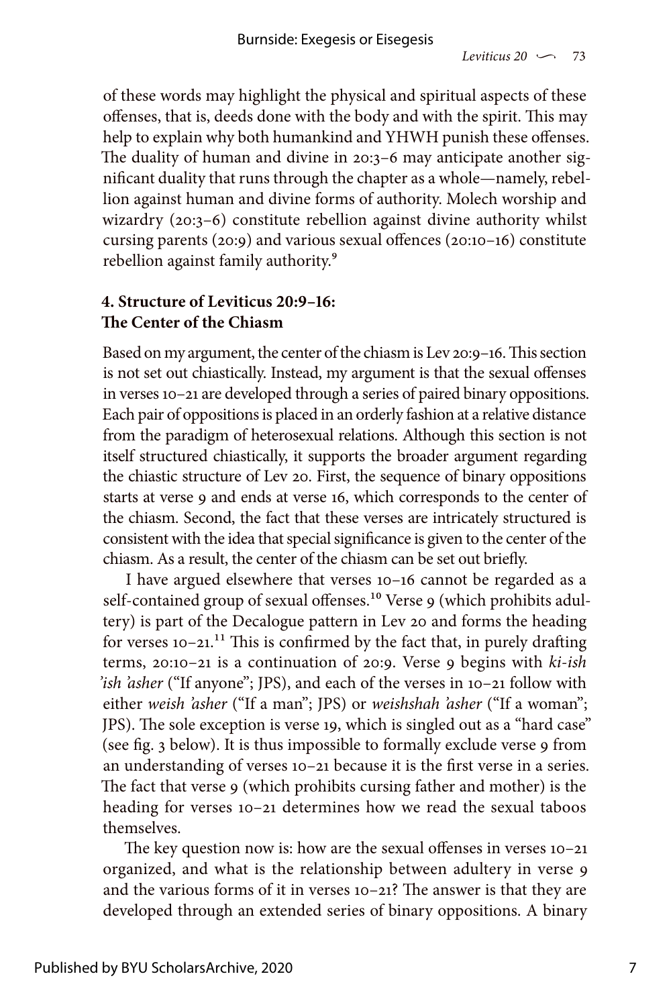of these words may highlight the physical and spiritual aspects of these offenses, that is, deeds done with the body and with the spirit. This may help to explain why both humankind and YHWH punish these offenses. The duality of human and divine in 20:3–6 may anticipate another significant duality that runs through the chapter as a whole—namely, rebellion against human and divine forms of authority. Molech worship and wizardry (20:3–6) constitute rebellion against divine authority whilst cursing parents (20:9) and various sexual offences (20:10–16) constitute rebellion against family authority.<sup>9</sup>

#### **4. Structure of Leviticus 20:9–16: The Center of the Chiasm**

Based on my argument, the center of the chiasm is Lev 20:9–16. This section is not set out chiastically. Instead, my argument is that the sexual offenses in verses 10–21 are developed through a series of paired binary oppositions. Each pair of oppositions is placed in an orderly fashion at a relative distance from the paradigm of heterosexual relations. Although this section is not itself structured chiastically, it supports the broader argument regarding the chiastic structure of Lev 20. First, the sequence of binary oppositions starts at verse 9 and ends at verse 16, which corresponds to the center of the chiasm. Second, the fact that these verses are intricately structured is consistent with the idea that special significance is given to the center of the chiasm. As a result, the center of the chiasm can be set out briefly.

I have argued elsewhere that verses 10–16 cannot be regarded as a self-contained group of sexual offenses.<sup>10</sup> Verse 9 (which prohibits adultery) is part of the Decalogue pattern in Lev 20 and forms the heading for verses  $10-21$ .<sup>11</sup> This is confirmed by the fact that, in purely drafting terms, 20:10–21 is a continuation of 20:9. Verse 9 begins with *ki-ish 'ish 'asher* ("If anyone"; JPS), and each of the verses in 10–21 follow with either *weish 'asher* ("If a man"; JPS) or *weishshah 'asher* ("If a woman"; JPS). The sole exception is verse 19, which is singled out as a "hard case" (see fig. 3 below). It is thus impossible to formally exclude verse 9 from an understanding of verses 10–21 because it is the first verse in a series. The fact that verse 9 (which prohibits cursing father and mother) is the heading for verses 10-21 determines how we read the sexual taboos themselves.

The key question now is: how are the sexual offenses in verses 10–21 organized, and what is the relationship between adultery in verse 9 and the various forms of it in verses 10–21? The answer is that they are developed through an extended series of binary oppositions. A binary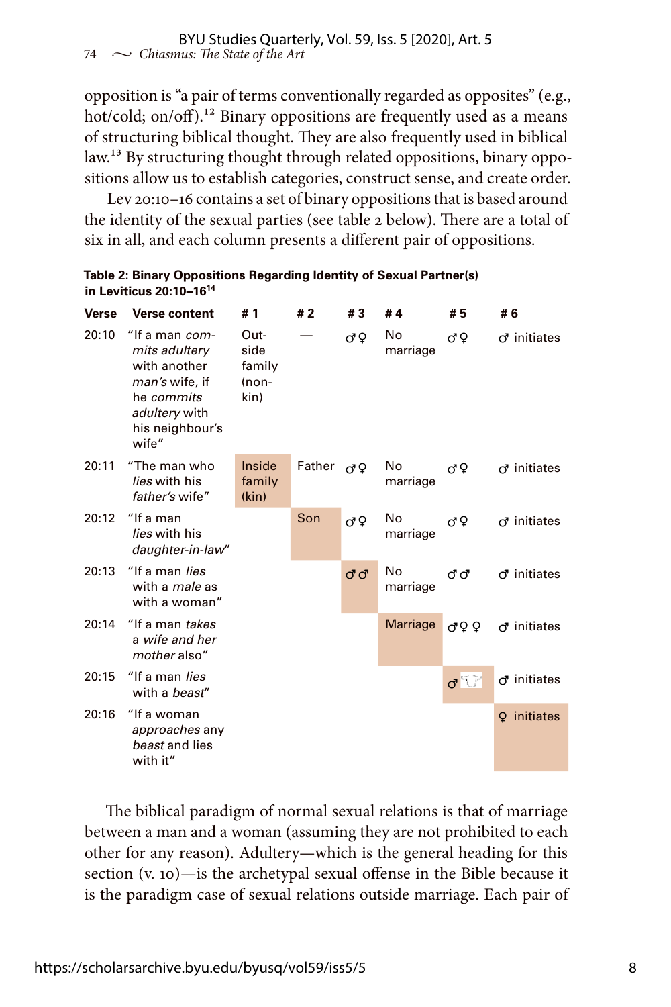opposition is "a pair of terms conventionally regarded as opposites" (e.g., hot/cold; on/off).<sup>12</sup> Binary oppositions are frequently used as a means of structuring biblical thought. They are also frequently used in biblical law.<sup>13</sup> By structuring thought through related oppositions, binary oppositions allow us to establish categories, construct sense, and create order.

Lev 20:10–16 contains a set of binary oppositions that is based around the identity of the sexual parties (see table 2 below). There are a total of six in all, and each column presents a different pair of oppositions.

| Table 2: Binary Oppositions Regarding Identity of Sexual Partner(s) |
|---------------------------------------------------------------------|
| in Leviticus $20:10-16^{14}$                                        |

| Verse | <b>Verse content</b>                                                                                                         | # 1                                       | #2     | #3    | #4 $\overline{4}$ | # 5                  | # 6                |
|-------|------------------------------------------------------------------------------------------------------------------------------|-------------------------------------------|--------|-------|-------------------|----------------------|--------------------|
| 20:10 | "If a man com-<br>mits adultery<br>with another<br>man's wife, if<br>he commits<br>adultery with<br>his neighbour's<br>wife" | Out-<br>side<br>family<br>$(non-$<br>kin) |        | đΫ    | No<br>marriage    | đΩ                   | $\sigma$ initiates |
| 20:11 | "The man who<br>lies with his<br>father's wife"                                                                              | Inside<br>family<br>(kin)                 | Father | đΩ    | No.<br>marriage   | đΩ                   | $\sigma$ initiates |
| 20:12 | "If a man<br>lies with his<br>daughter-in-law"                                                                               |                                           | Son    | ďΫ    | No<br>marriage    | đΩ                   | $\sigma$ initiates |
| 20:13 | "If a man <i>lies</i><br>with a <i>male</i> as<br>with a woman"                                                              |                                           |        | ರಿ ರೆ | No<br>marriage    | ದಿದೆ                 | $\sigma$ initiates |
| 20:14 | "If a man takes<br>a wife and her<br>mother also"                                                                            |                                           |        |       | <b>Marriage</b>   | ♂♀♀                  | $\sigma$ initiates |
| 20:15 | "If a man lies<br>with a beast"                                                                                              |                                           |        |       |                   | $\sigma$ $\tilde{U}$ | ් initiates        |
| 20:16 | "If a woman<br>approaches any<br>beast and lies<br>with it"                                                                  |                                           |        |       |                   |                      | initiates<br>Q     |

The biblical paradigm of normal sexual relations is that of marriage between a man and a woman (assuming they are not prohibited to each other for any reason). Adultery—which is the general heading for this section (v. 10)—is the archetypal sexual offense in the Bible because it is the paradigm case of sexual relations outside marriage. Each pair of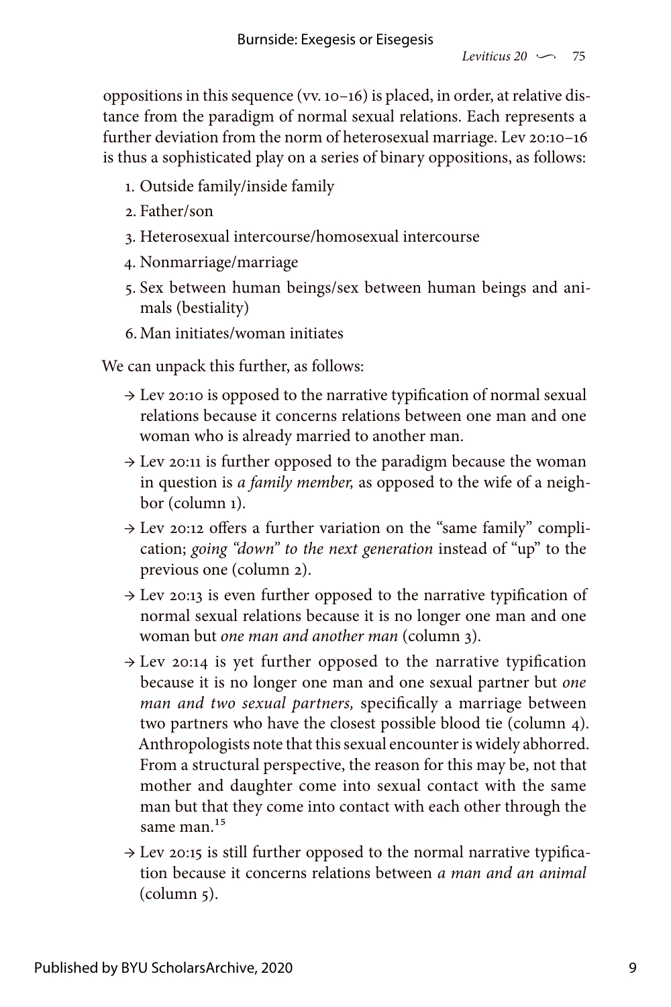oppositions in this sequence (vv. 10–16) is placed, in order, at relative distance from the paradigm of normal sexual relations. Each represents a further deviation from the norm of heterosexual marriage. Lev 20:10–16 is thus a sophisticated play on a series of binary oppositions, as follows:

- 1. Outside family/inside family
- 2. Father/son
- 3. Heterosexual intercourse/homosexual intercourse
- 4. Nonmarriage/marriage
- 5. Sex between human beings/sex between human beings and animals (bestiality)
- 6.Man initiates/woman initiates

We can unpack this further, as follows:

- $\rightarrow$  Lev 20:10 is opposed to the narrative typification of normal sexual relations because it concerns relations between one man and one woman who is already married to another man.
- $\rightarrow$  Lev 20:11 is further opposed to the paradigm because the woman in question is *a family member,* as opposed to the wife of a neighbor (column 1).
- → Lev 20:12 offers a further variation on the "same family" complication; *going "down" to the next generation* instead of "up" to the previous one (column 2).
- $\rightarrow$  Lev 20:13 is even further opposed to the narrative typification of normal sexual relations because it is no longer one man and one woman but *one man and another man* (column 3).
- $\rightarrow$  Lev 20:14 is yet further opposed to the narrative typification because it is no longer one man and one sexual partner but *one man and two sexual partners,* specifically a marriage between two partners who have the closest possible blood tie (column 4). Anthropologists note that this sexual encounter is widely abhorred. From a structural perspective, the reason for this may be, not that mother and daughter come into sexual contact with the same man but that they come into contact with each other through the same man.<sup>15</sup>
- $\rightarrow$  Lev 20:15 is still further opposed to the normal narrative typification because it concerns relations between *a man and an animal* (column 5).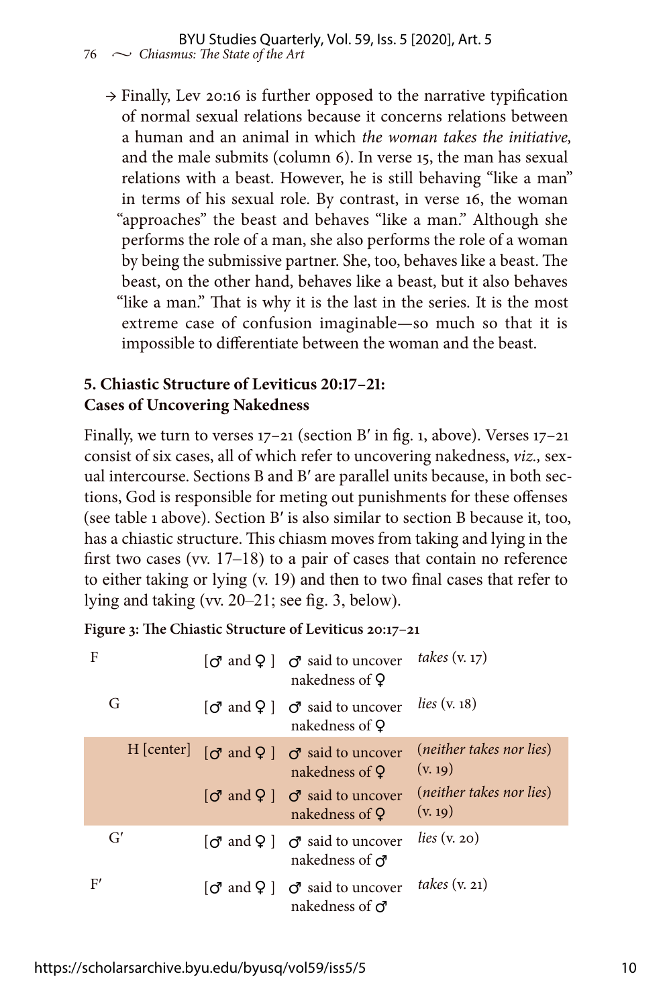#### 76  $\sim$  *Chiasmus: The State of the Art* BYU Studies Quarterly, Vol. 59, Iss. 5 [2020], Art. 5

→ Finally, Lev 20:16 is further opposed to the narrative typification of normal sexual relations because it concerns relations between a human and an animal in which *the woman takes the initiative,* and the male submits (column 6). In verse 15, the man has sexual relations with a beast. However, he is still behaving "like a man" in terms of his sexual role. By contrast, in verse 16, the woman "approaches" the beast and behaves "like a man." Although she performs the role of a man, she also performs the role of a woman by being the submissive partner. She, too, behaves like a beast. The beast, on the other hand, behaves like a beast, but it also behaves "like a man." That is why it is the last in the series. It is the most extreme case of confusion imaginable—so much so that it is impossible to differentiate between the woman and the beast.

#### **5. Chiastic Structure of Leviticus 20:17–21: Cases of Uncovering Nakedness**

Finally, we turn to verses  $17-21$  (section B' in fig. 1, above). Verses  $17-21$ consist of six cases, all of which refer to uncovering nakedness, *viz.,* sexual intercourse. Sections B and B′ are parallel units because, in both sections, God is responsible for meting out punishments for these offenses (see table 1 above). Section B′ is also similar to section B because it, too, has a chiastic structure. This chiasm moves from taking and lying in the first two cases (vv. 17–18) to a pair of cases that contain no reference to either taking or lying (v. 19) and then to two final cases that refer to lying and taking (vv. 20–21; see fig. 3, below).

**Figure 3: The Chiastic Structure of Leviticus 20:17–21**

| F          | $\lceil \sigma \rceil$ and $\lceil \sigma \rceil$ and to uncover<br>nakedness of Q                              | takes $(v. 17)$                     |
|------------|-----------------------------------------------------------------------------------------------------------------|-------------------------------------|
| G          | $\lbrack \mathcal{O} \rbrack$ and $\mathcal{Q} \rbrack$ $\mathcal{O} \rbrack$ said to uncover<br>nakedness of Q | lies $(v. 18)$                      |
| H   center | $\lceil \sigma \rceil$ and $\lceil \sigma \rceil$ and to uncover<br>nakedness of Q                              | (neither takes nor lies)<br>(v. 19) |
|            | $\sigma$ and $\Omega$   $\sigma$ said to uncover<br>nakedness of Q                                              | (neither takes nor lies)<br>(v. 19) |
| G'         | $\sigma$ and $\varphi$   $\sigma$ said to uncover<br>nakedness of $\sigma$                                      | lies $(v. 20)$                      |
| F'         | $\sigma$ and $\Omega$   $\sigma$ said to uncover<br>nakedness of $\sigma$                                       | takes $(v. 21)$                     |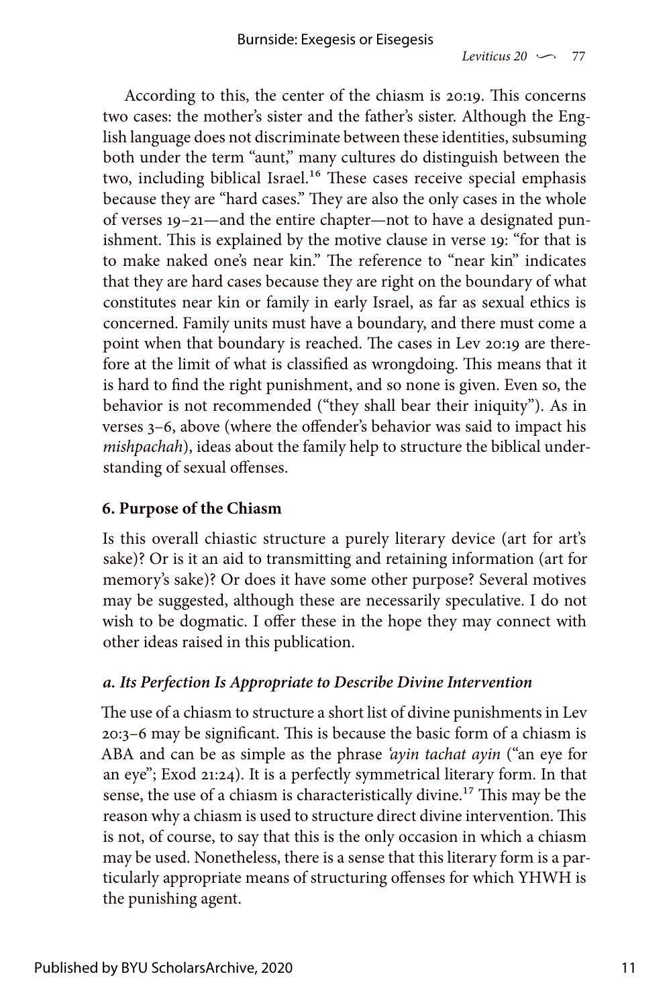According to this, the center of the chiasm is 20:19. This concerns two cases: the mother's sister and the father's sister. Although the English language does not discriminate between these identities, subsuming both under the term "aunt," many cultures do distinguish between the two, including biblical Israel.<sup>16</sup> These cases receive special emphasis because they are "hard cases." They are also the only cases in the whole of verses 19–21—and the entire chapter—not to have a designated punishment. This is explained by the motive clause in verse 19: "for that is to make naked one's near kin." The reference to "near kin" indicates that they are hard cases because they are right on the boundary of what constitutes near kin or family in early Israel, as far as sexual ethics is concerned. Family units must have a boundary, and there must come a point when that boundary is reached. The cases in Lev 20:19 are therefore at the limit of what is classified as wrongdoing. This means that it is hard to find the right punishment, and so none is given. Even so, the behavior is not recommended ("they shall bear their iniquity"). As in verses 3–6, above (where the offender's behavior was said to impact his *mishpachah*), ideas about the family help to structure the biblical understanding of sexual offenses.

#### **6. Purpose of the Chiasm**

Is this overall chiastic structure a purely literary device (art for art's sake)? Or is it an aid to transmitting and retaining information (art for memory's sake)? Or does it have some other purpose? Several motives may be suggested, although these are necessarily speculative. I do not wish to be dogmatic. I offer these in the hope they may connect with other ideas raised in this publication.

#### *a. Its Perfection Is Appropriate to Describe Divine Intervention*

The use of a chiasm to structure a short list of divine punishments in Lev 20:3–6 may be significant. This is because the basic form of a chiasm is ABA and can be as simple as the phrase *'ayin tachat ayin* ("an eye for an eye"; Exod 21:24). It is a perfectly symmetrical literary form. In that sense, the use of a chiasm is characteristically divine.<sup>17</sup> This may be the reason why a chiasm is used to structure direct divine intervention. This is not, of course, to say that this is the only occasion in which a chiasm may be used. Nonetheless, there is a sense that this literary form is a particularly appropriate means of structuring offenses for which YHWH is the punishing agent.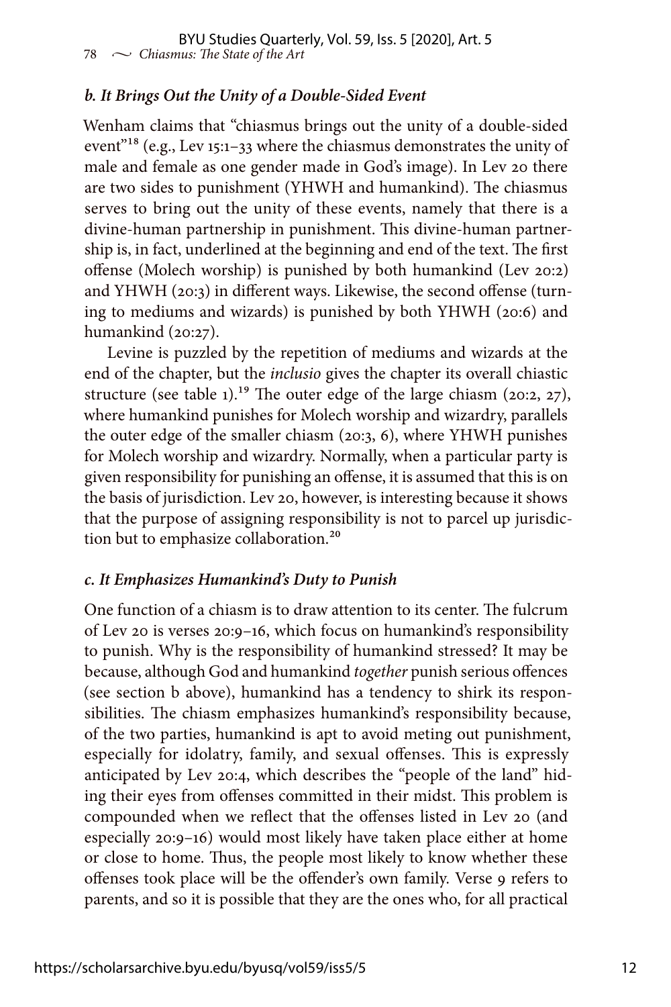## *b. It Brings Out the Unity of a Double-Sided Event*

Wenham claims that "chiasmus brings out the unity of a double-sided event"18 (e.g., Lev 15:1–33 where the chiasmus demonstrates the unity of male and female as one gender made in God's image). In Lev 20 there are two sides to punishment (YHWH and humankind). The chiasmus serves to bring out the unity of these events, namely that there is a divine-human partnership in punishment. This divine-human partnership is, in fact, underlined at the beginning and end of the text. The first offense (Molech worship) is punished by both humankind (Lev 20:2) and YHWH (20:3) in different ways. Likewise, the second offense (turning to mediums and wizards) is punished by both YHWH (20:6) and humankind (20:27).

Levine is puzzled by the repetition of mediums and wizards at the end of the chapter, but the *inclusio* gives the chapter its overall chiastic structure (see table 1).<sup>19</sup> The outer edge of the large chiasm (20:2, 27), where humankind punishes for Molech worship and wizardry, parallels the outer edge of the smaller chiasm (20:3, 6), where YHWH punishes for Molech worship and wizardry. Normally, when a particular party is given responsibility for punishing an offense, it is assumed that this is on the basis of jurisdiction. Lev 20, however, is interesting because it shows that the purpose of assigning responsibility is not to parcel up jurisdiction but to emphasize collaboration.20

### *c. It Emphasizes Humankind's Duty to Punish*

One function of a chiasm is to draw attention to its center. The fulcrum of Lev 20 is verses 20:9–16, which focus on humankind's responsibility to punish. Why is the responsibility of humankind stressed? It may be because, although God and humankind *together* punish serious offences (see section b above), humankind has a tendency to shirk its responsibilities. The chiasm emphasizes humankind's responsibility because, of the two parties, humankind is apt to avoid meting out punishment, especially for idolatry, family, and sexual offenses. This is expressly anticipated by Lev 20:4, which describes the "people of the land" hiding their eyes from offenses committed in their midst. This problem is compounded when we reflect that the offenses listed in Lev 20 (and especially 20:9–16) would most likely have taken place either at home or close to home. Thus, the people most likely to know whether these offenses took place will be the offender's own family. Verse 9 refers to parents, and so it is possible that they are the ones who, for all practical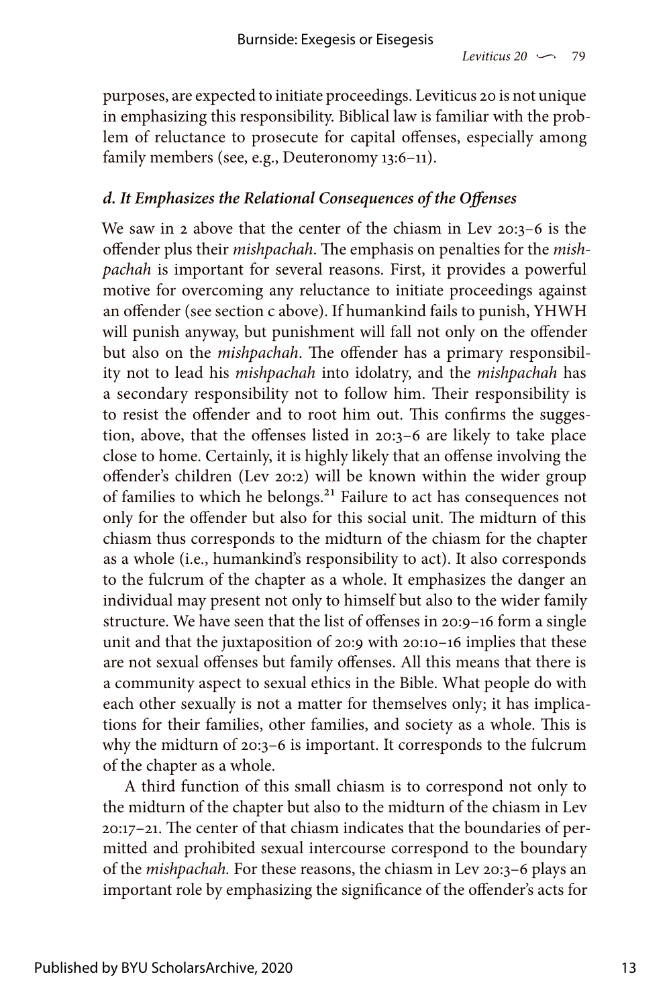purposes, are expected to initiate proceedings. Leviticus 20 is not unique in emphasizing this responsibility. Biblical law is familiar with the problem of reluctance to prosecute for capital offenses, especially among family members (see, e.g., Deuteronomy 13:6–11).

#### *d. It Emphasizes the Relational Consequences of the Offenses*

We saw in 2 above that the center of the chiasm in Lev 20:3–6 is the offender plus their *mishpachah*. The emphasis on penalties for the *mishpachah* is important for several reasons. First, it provides a powerful motive for overcoming any reluctance to initiate proceedings against an offender (see section c above). If humankind fails to punish, YHWH will punish anyway, but punishment will fall not only on the offender but also on the *mishpachah*. The offender has a primary responsibility not to lead his *mishpachah* into idolatry, and the *mishpachah* has a secondary responsibility not to follow him. Their responsibility is to resist the offender and to root him out. This confirms the suggestion, above, that the offenses listed in 20:3–6 are likely to take place close to home. Certainly, it is highly likely that an offense involving the offender's children (Lev 20:2) will be known within the wider group of families to which he belongs.<sup>21</sup> Failure to act has consequences not only for the offender but also for this social unit. The midturn of this chiasm thus corresponds to the midturn of the chiasm for the chapter as a whole (i.e., humankind's responsibility to act). It also corresponds to the fulcrum of the chapter as a whole. It emphasizes the danger an individual may present not only to himself but also to the wider family structure. We have seen that the list of offenses in 20:9–16 form a single unit and that the juxtaposition of 20:9 with 20:10–16 implies that these are not sexual offenses but family offenses. All this means that there is a community aspect to sexual ethics in the Bible. What people do with each other sexually is not a matter for themselves only; it has implications for their families, other families, and society as a whole. This is why the midturn of 20:3–6 is important. It corresponds to the fulcrum of the chapter as a whole.

A third function of this small chiasm is to correspond not only to the midturn of the chapter but also to the midturn of the chiasm in Lev 20:17–21. The center of that chiasm indicates that the boundaries of permitted and prohibited sexual intercourse correspond to the boundary of the *mishpachah.* For these reasons, the chiasm in Lev 20:3–6 plays an important role by emphasizing the significance of the offender's acts for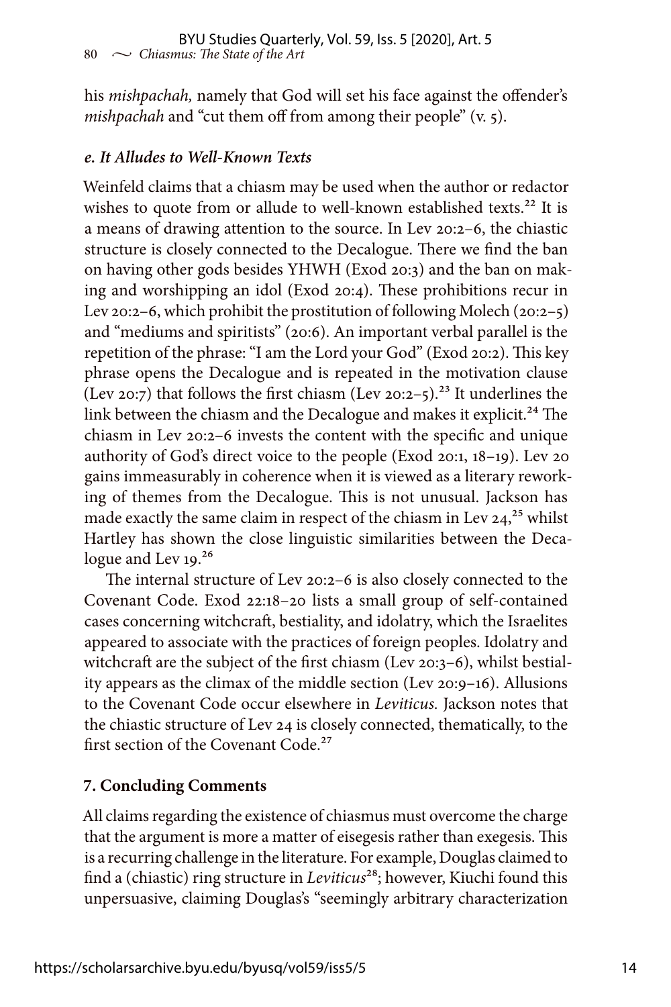his *mishpachah,* namely that God will set his face against the offender's *mishpachah* and "cut them off from among their people" (v. 5).

#### *e. It Alludes to Well-Known Texts*

Weinfeld claims that a chiasm may be used when the author or redactor wishes to quote from or allude to well-known established texts.<sup>22</sup> It is a means of drawing attention to the source. In Lev 20:2–6, the chiastic structure is closely connected to the Decalogue. There we find the ban on having other gods besides YHWH (Exod 20:3) and the ban on making and worshipping an idol (Exod 20:4). These prohibitions recur in Lev 20:2–6, which prohibit the prostitution of following Molech (20:2–5) and "mediums and spiritists" (20:6). An important verbal parallel is the repetition of the phrase: "I am the Lord your God" (Exod 20:2). This key phrase opens the Decalogue and is repeated in the motivation clause (Lev 20:7) that follows the first chiasm (Lev 20:2–5).<sup>23</sup> It underlines the link between the chiasm and the Decalogue and makes it explicit.<sup>24</sup> The chiasm in Lev 20:2–6 invests the content with the specific and unique authority of God's direct voice to the people (Exod 20:1, 18–19). Lev 20 gains immeasurably in coherence when it is viewed as a literary reworking of themes from the Decalogue. This is not unusual. Jackson has made exactly the same claim in respect of the chiasm in Lev 24,<sup>25</sup> whilst Hartley has shown the close linguistic similarities between the Decalogue and Lev 19.<sup>26</sup>

The internal structure of Lev 20:2–6 is also closely connected to the Covenant Code. Exod 22:18–20 lists a small group of self-contained cases concerning witchcraft, bestiality, and idolatry, which the Israelites appeared to associate with the practices of foreign peoples. Idolatry and witchcraft are the subject of the first chiasm (Lev 20:3–6), whilst bestiality appears as the climax of the middle section (Lev 20:9–16). Allusions to the Covenant Code occur elsewhere in *Leviticus.* Jackson notes that the chiastic structure of Lev 24 is closely connected, thematically, to the first section of the Covenant Code.<sup>27</sup>

#### **7. Concluding Comments**

All claims regarding the existence of chiasmus must overcome the charge that the argument is more a matter of eisegesis rather than exegesis. This is a recurring challenge in the literature. For example, Douglas claimed to find a (chiastic) ring structure in *Leviticus*28; however, Kiuchi found this unpersuasive, claiming Douglas's "seemingly arbitrary characterization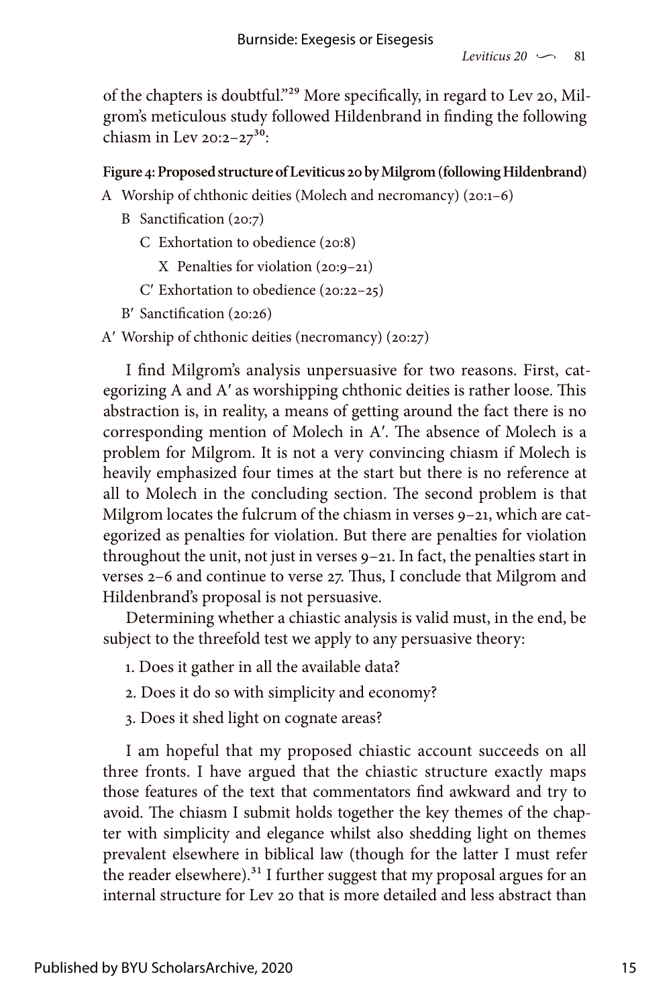of the chapters is doubtful."29 More specifically, in regard to Lev 20, Milgrom's meticulous study followed Hildenbrand in finding the following chiasm in Lev  $20:2-27^{30}$ :

#### **Figure 4: Proposed structure of Leviticus 20 by Milgrom (following Hildenbrand)**

- A Worship of chthonic deities (Molech and necromancy) (20:1–6)
	- B Sanctification (20:7)
		- C Exhortation to obedience (20:8)
			- X Penalties for violation (20:9–21)
		- C′ Exhortation to obedience (20:22–25)
	- B′ Sanctification (20:26)

A′ Worship of chthonic deities (necromancy) (20:27)

I find Milgrom's analysis unpersuasive for two reasons. First, categorizing A and A′ as worshipping chthonic deities is rather loose. This abstraction is, in reality, a means of getting around the fact there is no corresponding mention of Molech in A′. The absence of Molech is a problem for Milgrom. It is not a very convincing chiasm if Molech is heavily emphasized four times at the start but there is no reference at all to Molech in the concluding section. The second problem is that Milgrom locates the fulcrum of the chiasm in verses 9–21, which are categorized as penalties for violation. But there are penalties for violation throughout the unit, not just in verses 9–21. In fact, the penalties start in verses 2–6 and continue to verse 27. Thus, I conclude that Milgrom and Hildenbrand's proposal is not persuasive.

Determining whether a chiastic analysis is valid must, in the end, be subject to the threefold test we apply to any persuasive theory:

- 1. Does it gather in all the available data?
- 2. Does it do so with simplicity and economy?
- 3. Does it shed light on cognate areas?

I am hopeful that my proposed chiastic account succeeds on all three fronts. I have argued that the chiastic structure exactly maps those features of the text that commentators find awkward and try to avoid. The chiasm I submit holds together the key themes of the chapter with simplicity and elegance whilst also shedding light on themes prevalent elsewhere in biblical law (though for the latter I must refer the reader elsewhere).<sup>31</sup> I further suggest that my proposal argues for an internal structure for Lev 20 that is more detailed and less abstract than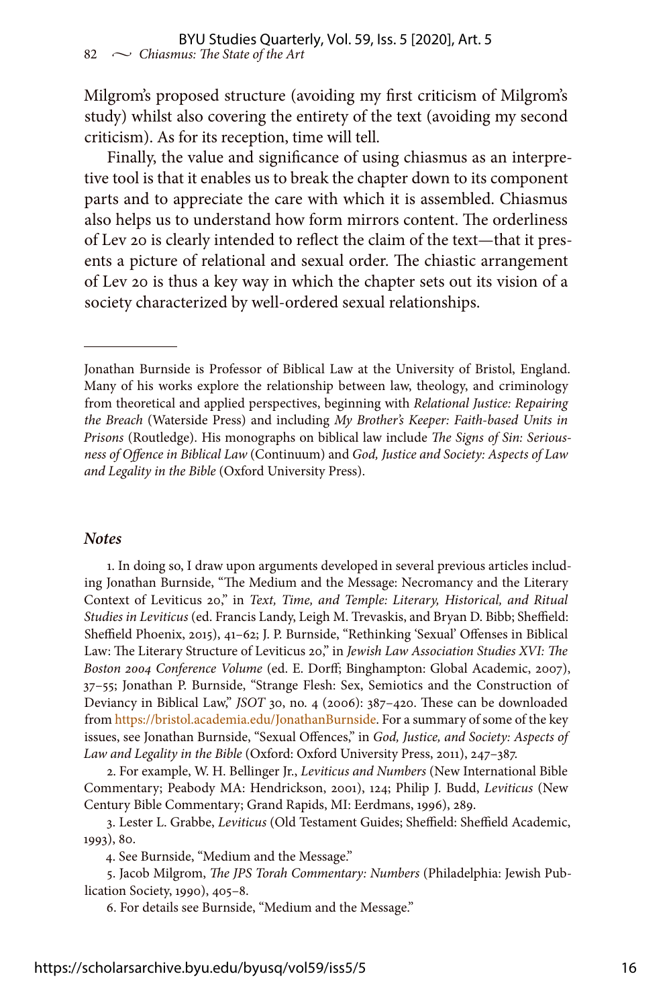Milgrom's proposed structure (avoiding my first criticism of Milgrom's study) whilst also covering the entirety of the text (avoiding my second criticism). As for its reception, time will tell.

Finally, the value and significance of using chiasmus as an interpretive tool is that it enables us to break the chapter down to its component parts and to appreciate the care with which it is assembled. Chiasmus also helps us to understand how form mirrors content. The orderliness of Lev 20 is clearly intended to reflect the claim of the text—that it presents a picture of relational and sexual order. The chiastic arrangement of Lev 20 is thus a key way in which the chapter sets out its vision of a society characterized by well-ordered sexual relationships.

#### *Notes*

1. In doing so, I draw upon arguments developed in several previous articles including Jonathan Burnside, "The Medium and the Message: Necromancy and the Literary Context of Leviticus 20," in *Text, Time, and Temple: Literary, Historical, and Ritual Studies in Leviticus* (ed. Francis Landy, Leigh M. Trevaskis, and Bryan D. Bibb; Sheffield: Sheffield Phoenix, 2015), 41–62; J. P. Burnside, "Rethinking 'Sexual' Offenses in Biblical Law: The Literary Structure of Leviticus 20," in *Jewish Law Association Studies XVI: The Boston 2004 Conference Volume* (ed. E. Dorff; Binghampton: Global Academic, 2007), 37–55; Jonathan P. Burnside, "Strange Flesh: Sex, Semiotics and the Construction of Deviancy in Biblical Law," *JSOT* 30, no. 4 (2006): 387–420. These can be downloaded from<https://bristol.academia.edu/JonathanBurnside>. For a summary of some of the key issues, see Jonathan Burnside, "Sexual Offences," in *God, Justice, and Society: Aspects of Law and Legality in the Bible* (Oxford: Oxford University Press, 2011), 247–387.

2. For example, W. H. Bellinger Jr., *Leviticus and Numbers* (New International Bible Commentary; Peabody MA: Hendrickson, 2001), 124; Philip J. Budd, *Leviticus* (New Century Bible Commentary; Grand Rapids, MI: Eerdmans, 1996), 289.

3. Lester L. Grabbe, *Leviticus* (Old Testament Guides; Sheffield: Sheffield Academic, 1993), 80.

4. See Burnside, "Medium and the Message."

5. Jacob Milgrom, *The JPS Torah Commentary: Numbers* (Philadelphia: Jewish Publication Society, 1990), 405–8.

6. For details see Burnside, "Medium and the Message."

Jonathan Burnside is Professor of Biblical Law at the University of Bristol, England. Many of his works explore the relationship between law, theology, and criminology from theoretical and applied perspectives, beginning with *Relational Justice: Repairing the Breach* (Waterside Press) and including *My Brother's Keeper: Faith-based Units in Prisons* (Routledge). His monographs on biblical law include *The Signs of Sin: Seriousness of Offence in Biblical Law* (Continuum) and *God, Justice and Society: Aspects of Law and Legality in the Bible* (Oxford University Press).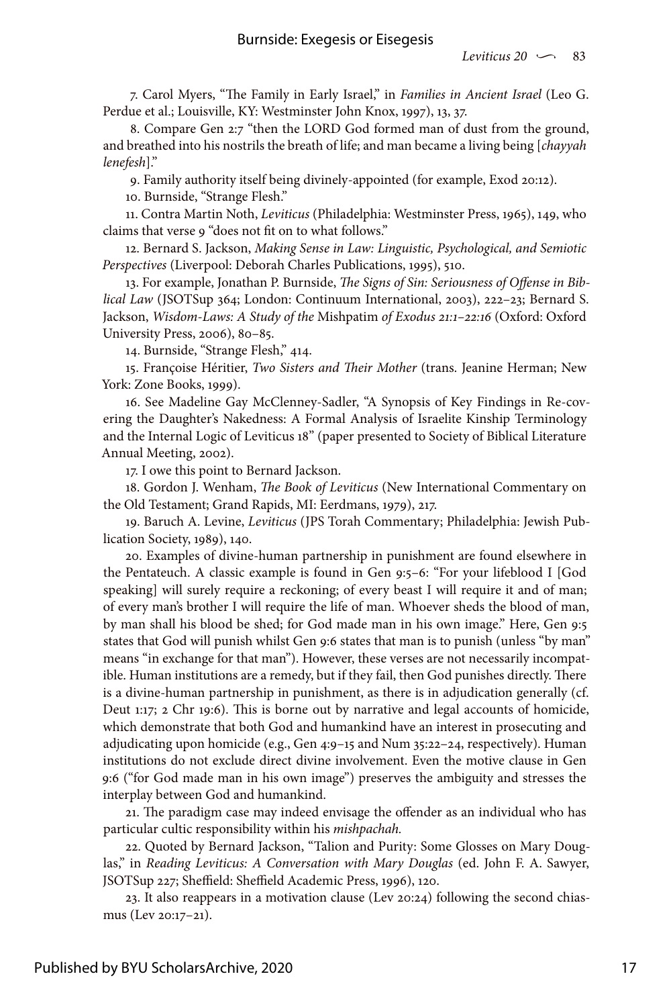7. Carol Myers, "The Family in Early Israel," in *Families in Ancient Israel* (Leo G. Perdue et al.; Louisville, KY: Westminster John Knox, 1997), 13, 37.

8. Compare Gen 2:7 "then the LORD God formed man of dust from the ground, and breathed into his nostrils the breath of life; and man became a living being [*chayyah lenefesh*]."

9. Family authority itself being divinely-appointed (for example, Exod 20:12).

10. Burnside, "Strange Flesh."

11. Contra Martin Noth, *Leviticus* (Philadelphia: Westminster Press, 1965), 149, who claims that verse 9 "does not fit on to what follows."

12. Bernard S. Jackson, *Making Sense in Law: Linguistic, Psychological, and Semiotic Perspectives* (Liverpool: Deborah Charles Publications, 1995), 510.

13. For example, Jonathan P. Burnside, *The Signs of Sin: Seriousness of Offense in Biblical Law* (JSOTSup 364; London: Continuum International, 2003), 222–23; Bernard S. Jackson, *Wisdom-Laws: A Study of the* Mishpatim *of Exodus 21:1–22:16* (Oxford: Oxford University Press, 2006), 80–85.

14. Burnside, "Strange Flesh," 414.

15. Françoise Héritier, *Two Sisters and Their Mother* (trans. Jeanine Herman; New York: Zone Books, 1999).

16. See Madeline Gay McClenney-Sadler, "A Synopsis of Key Findings in Re-covering the Daughter's Nakedness: A Formal Analysis of Israelite Kinship Terminology and the Internal Logic of Leviticus 18" (paper presented to Society of Biblical Literature Annual Meeting, 2002).

17. I owe this point to Bernard Jackson.

18. Gordon J. Wenham, *The Book of Leviticus* (New International Commentary on the Old Testament; Grand Rapids, MI: Eerdmans, 1979), 217.

19. Baruch A. Levine, *Leviticus* (JPS Torah Commentary; Philadelphia: Jewish Publication Society, 1989), 140.

20. Examples of divine-human partnership in punishment are found elsewhere in the Pentateuch. A classic example is found in Gen 9:5–6: "For your lifeblood I [God speaking] will surely require a reckoning; of every beast I will require it and of man; of every man's brother I will require the life of man. Whoever sheds the blood of man, by man shall his blood be shed; for God made man in his own image." Here, Gen 9:5 states that God will punish whilst Gen 9:6 states that man is to punish (unless "by man" means "in exchange for that man"). However, these verses are not necessarily incompatible. Human institutions are a remedy, but if they fail, then God punishes directly. There is a divine-human partnership in punishment, as there is in adjudication generally (cf. Deut 1:17; 2 Chr 19:6). This is borne out by narrative and legal accounts of homicide, which demonstrate that both God and humankind have an interest in prosecuting and adjudicating upon homicide (e.g., Gen 4:9–15 and Num 35:22–24, respectively). Human institutions do not exclude direct divine involvement. Even the motive clause in Gen 9:6 ("for God made man in his own image") preserves the ambiguity and stresses the interplay between God and humankind.

21. The paradigm case may indeed envisage the offender as an individual who has particular cultic responsibility within his *mishpachah.*

22. Quoted by Bernard Jackson, "Talion and Purity: Some Glosses on Mary Douglas," in *Reading Leviticus: A Conversation with Mary Douglas* (ed. John F. A. Sawyer, JSOTSup 227; Sheffield: Sheffield Academic Press, 1996), 120.

23. It also reappears in a motivation clause (Lev 20:24) following the second chiasmus (Lev 20:17–21).